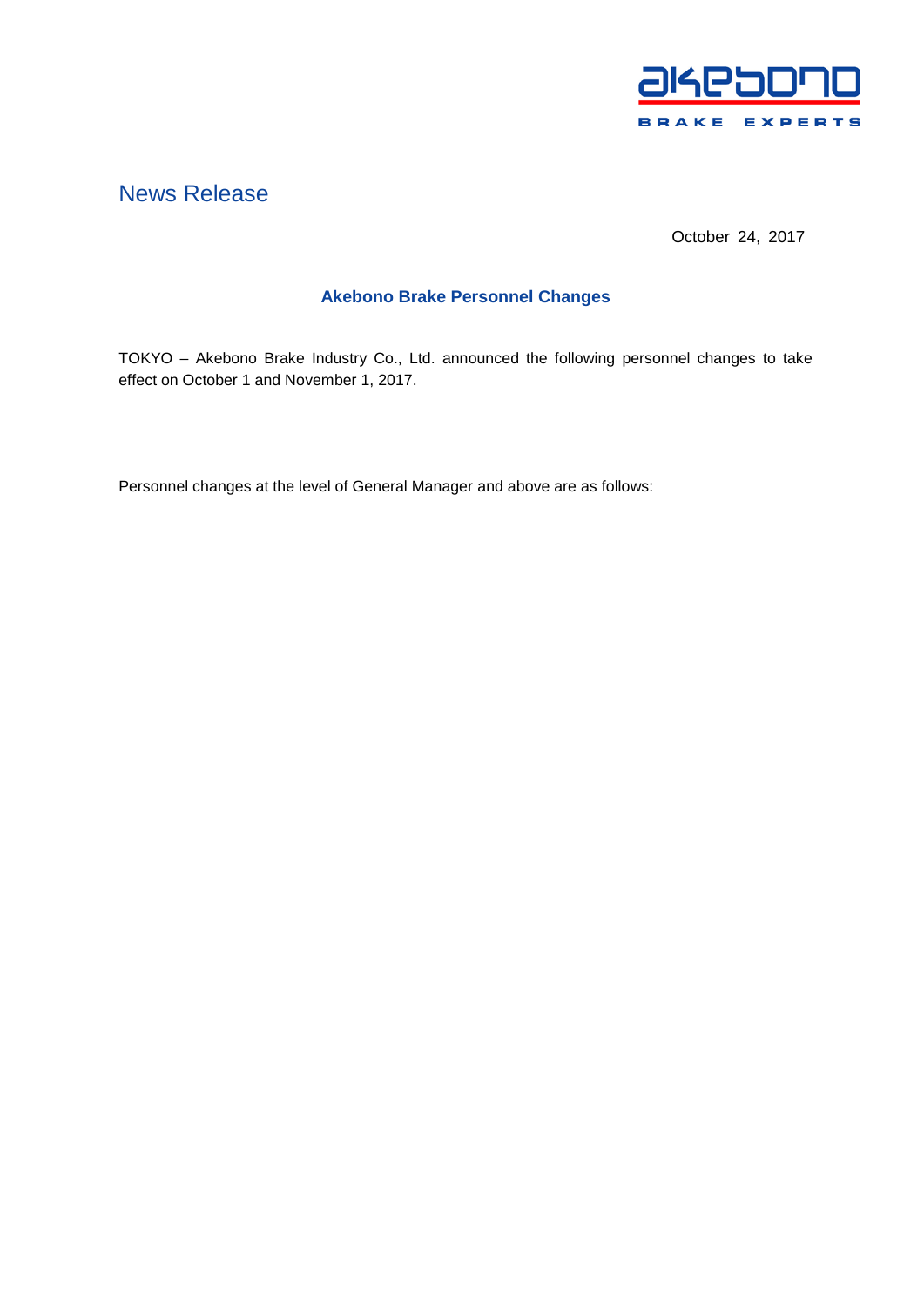

# News Release

October 24, 2017

## **Akebono Brake Personnel Changes**

TOKYO – Akebono Brake Industry Co., Ltd. announced the following personnel changes to take effect on October 1 and November 1, 2017.

Personnel changes at the level of General Manager and above are as follows: